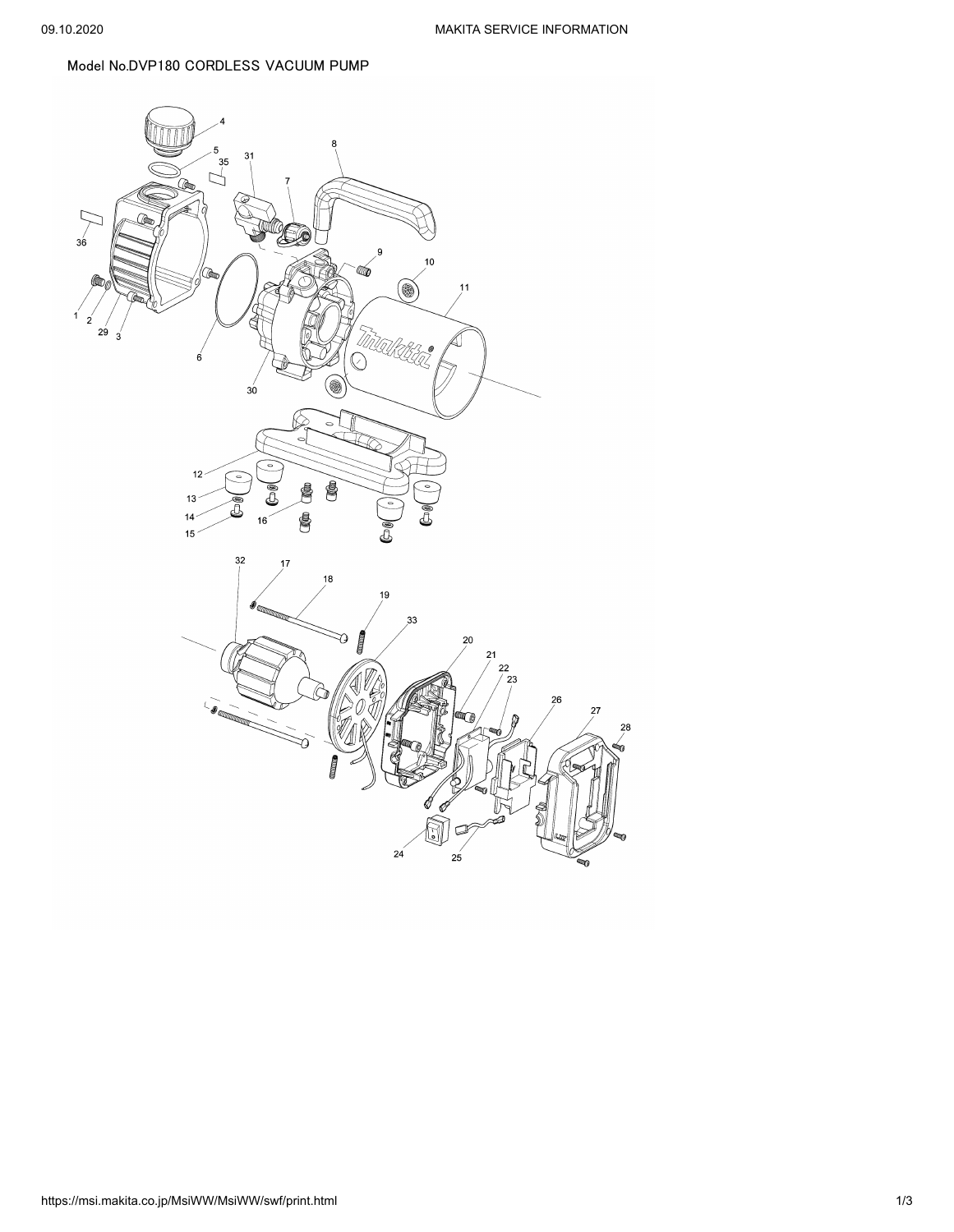## Model No.DVP180 CORDLESS VACUUM PUMP

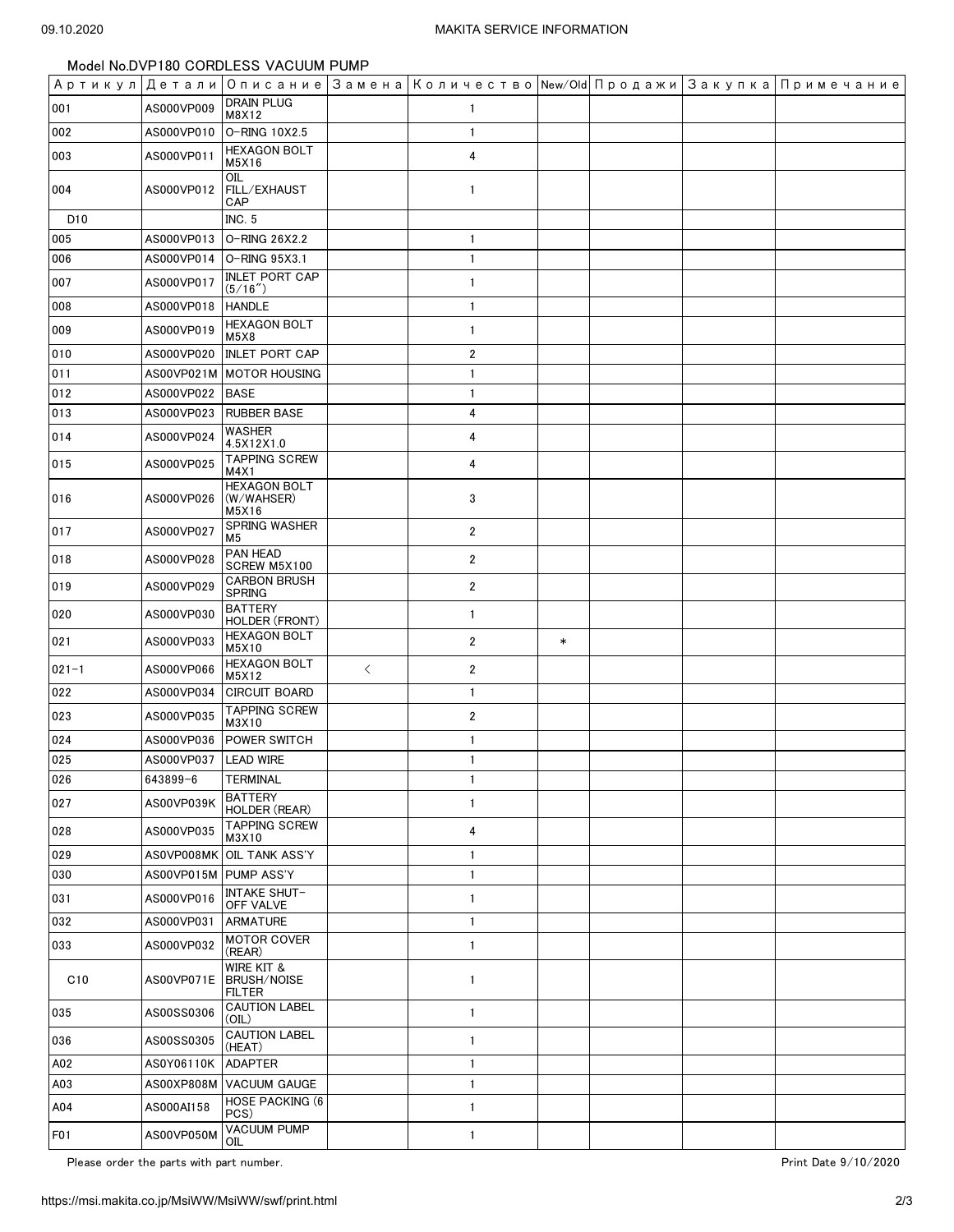Model No.DVP180 CORDLESS VACUUM PUMP

|                  |            |                                                              |       |                         |        |  | Артикул Детали Описание Замена Количество New/Old Продажи Закупка Примечание |
|------------------|------------|--------------------------------------------------------------|-------|-------------------------|--------|--|------------------------------------------------------------------------------|
| 001              | AS000VP009 | <b>DRAIN PLUG</b><br>M8X12                                   |       | 1                       |        |  |                                                                              |
| 002              | AS000VP010 | O-RING 10X2.5                                                |       | $\mathbf{1}$            |        |  |                                                                              |
| 003              | AS000VP011 | <b>HEXAGON BOLT</b><br>M5X16                                 |       | 4                       |        |  |                                                                              |
| 004              | AS000VP012 | OIL<br>FILL/EXHAUST<br>CAP                                   |       | $\mathbf{1}$            |        |  |                                                                              |
| D <sub>10</sub>  |            | <b>INC. 5</b>                                                |       |                         |        |  |                                                                              |
| 005              | AS000VP013 | O-RING 26X2.2                                                |       | $\mathbf{1}$            |        |  |                                                                              |
| 006              | AS000VP014 | O-RING 95X3.1                                                |       | $\mathbf{1}$            |        |  |                                                                              |
| 007              | AS000VP017 | <b>INLET PORT CAP</b><br>(5/16'')                            |       | $\mathbf{1}$            |        |  |                                                                              |
| 008              | AS000VP018 | <b>HANDLE</b>                                                |       | $\mathbf{1}$            |        |  |                                                                              |
| 009              | AS000VP019 | <b>HEXAGON BOLT</b><br>M5X8                                  |       | $\mathbf{1}$            |        |  |                                                                              |
| 010              | AS000VP020 | <b>INLET PORT CAP</b>                                        |       | $\overline{2}$          |        |  |                                                                              |
| 011              |            | AS00VP021M   MOTOR HOUSING                                   |       | 1                       |        |  |                                                                              |
| 012              | AS000VP022 | <b>BASE</b>                                                  |       | $\mathbf{1}$            |        |  |                                                                              |
| 013              | AS000VP023 | <b>RUBBER BASE</b>                                           |       | 4                       |        |  |                                                                              |
| 014              | AS000VP024 | <b>WASHER</b><br>4.5X12X1.0                                  |       | 4                       |        |  |                                                                              |
| 015              | AS000VP025 | <b>TAPPING SCREW</b><br>M4X1                                 |       | 4                       |        |  |                                                                              |
| 016              | AS000VP026 | <b>HEXAGON BOLT</b><br>(W/WAHSER)<br>M5X16                   |       | 3                       |        |  |                                                                              |
| 017              | AS000VP027 | <b>SPRING WASHER</b><br>M5                                   |       | $\overline{2}$          |        |  |                                                                              |
| 018              | AS000VP028 | PAN HEAD<br>SCREW M5X100                                     |       | $\overline{\mathbf{c}}$ |        |  |                                                                              |
| 019              | AS000VP029 | <b>CARBON BRUSH</b><br><b>SPRING</b>                         |       | $\overline{2}$          |        |  |                                                                              |
| 020              | AS000VP030 | <b>BATTERY</b><br>HOLDER (FRONT)                             |       | $\mathbf{1}$            |        |  |                                                                              |
| 021              | AS000VP033 | <b>HEXAGON BOLT</b><br>M5X10                                 |       | $\overline{\mathbf{c}}$ | $\ast$ |  |                                                                              |
| $021 - 1$        | AS000VP066 | <b>HEXAGON BOLT</b><br>M5X12                                 | $\lt$ | 2                       |        |  |                                                                              |
| 022              | AS000VP034 | <b>CIRCUIT BOARD</b>                                         |       | 1                       |        |  |                                                                              |
| 023              | AS000VP035 | <b>TAPPING SCREW</b><br>M3X10                                |       | $\overline{2}$          |        |  |                                                                              |
| 024              | AS000VP036 | POWER SWITCH                                                 |       | 1                       |        |  |                                                                              |
| 025              | AS000VP037 | <b>LEAD WIRE</b>                                             |       | $\mathbf{1}$            |        |  |                                                                              |
| 026              | 643899-6   | <b>TERMINAL</b>                                              |       | 1                       |        |  |                                                                              |
| 027              | AS00VP039K | BATTERY<br>HOLDER (REAR)                                     |       | 1                       |        |  |                                                                              |
| 028              | AS000VP035 | <b>TAPPING SCREW</b><br>M3X10                                |       | 4                       |        |  |                                                                              |
| 029              | AS0VP008MK | OIL TANK ASS'Y                                               |       | 1                       |        |  |                                                                              |
| 030              | AS00VP015M | <b>PUMP ASS'Y</b>                                            |       | 1                       |        |  |                                                                              |
| 031              | AS000VP016 | <b>INTAKE SHUT-</b><br>OFF VALVE                             |       | 1                       |        |  |                                                                              |
| 032              | AS000VP031 | <b>ARMATURE</b>                                              |       | 1                       |        |  |                                                                              |
| 033              | AS000VP032 | <b>MOTOR COVER</b><br>(REAR)                                 |       | 1                       |        |  |                                                                              |
| C10              | AS00VP071E | <b>WIRE KIT &amp;</b><br><b>BRUSH/NOISE</b><br><b>FILTER</b> |       | 1                       |        |  |                                                                              |
| 035              | AS00SS0306 | <b>CAUTION LABEL</b><br>(OIL)                                |       | 1                       |        |  |                                                                              |
| 036              | AS00SS0305 | <b>CAUTION LABEL</b><br>(HEAT)                               |       | 1                       |        |  |                                                                              |
| A02              | AS0Y06110K | <b>ADAPTER</b>                                               |       | 1                       |        |  |                                                                              |
| A03              | AS00XP808M | <b>VACUUM GAUGE</b>                                          |       | 1                       |        |  |                                                                              |
| A04              | AS000AI158 | <b>HOSE PACKING (6</b><br>PCS)                               |       | 1                       |        |  |                                                                              |
| F <sub>0</sub> 1 | AS00VP050M | <b>VACUUM PUMP</b><br>OIL                                    |       | $\mathbf{1}$            |        |  |                                                                              |

Please order the parts with part number.  $\blacksquare$